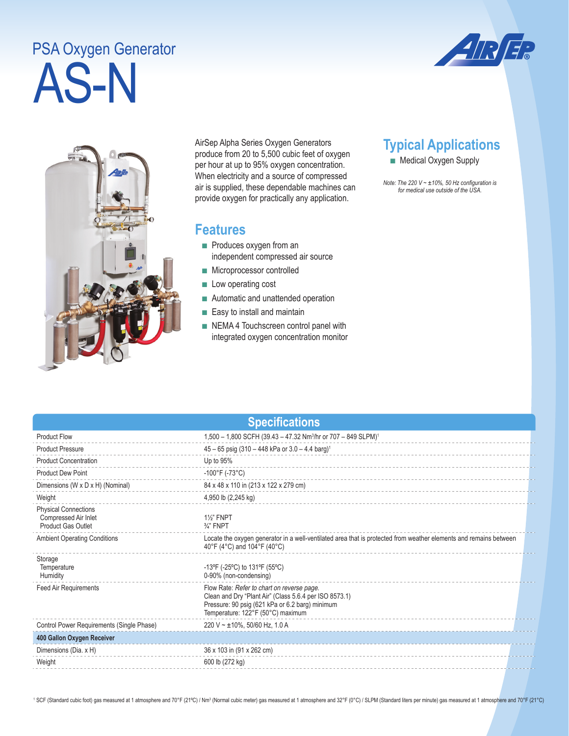# AS-N PSA Oxygen Generator





AirSep Alpha Series Oxygen Generators produce from 20 to 5,500 cubic feet of oxygen per hour at up to 95% oxygen concentration. When electricity and a source of compressed air is supplied, these dependable machines can provide oxygen for practically any application.

## **Features**

- Produces oxygen from an independent compressed air source
- Microprocessor controlled
- Low operating cost
- Automatic and unattended operation
- Easy to install and maintain
- NEMA 4 Touchscreen control panel with integrated oxygen concentration monitor

## **Typical Applications**

■ Medical Oxygen Supply

*Note: The 220 V ~ ±10%, 50 Hz configuration is for medical use outside of the USA.* 

### **Specifications**

| <b>Product Flow</b>                                                              | 1,500 - 1,800 SCFH (39.43 - 47.32 Nm <sup>3</sup> /hr or 707 - 849 SLPM) <sup>1</sup>                                                                                                        |  |
|----------------------------------------------------------------------------------|----------------------------------------------------------------------------------------------------------------------------------------------------------------------------------------------|--|
| <b>Product Pressure</b>                                                          | $45 - 65$ psig (310 - 448 kPa or 3.0 - 4.4 barg) <sup>1</sup>                                                                                                                                |  |
| <b>Product Concentration</b>                                                     | Up to 95%                                                                                                                                                                                    |  |
| <b>Product Dew Point</b>                                                         | $-100^{\circ}$ F (-73 $^{\circ}$ C)                                                                                                                                                          |  |
| Dimensions (W x D x H) (Nominal)                                                 | 84 x 48 x 110 in (213 x 122 x 279 cm)                                                                                                                                                        |  |
| Weight                                                                           | 4,950 lb (2,245 kg)                                                                                                                                                                          |  |
| <b>Physical Connections</b><br>Compressed Air Inlet<br><b>Product Gas Outlet</b> | <b>1%" FNPT</b><br>$\frac{3}{4}$ " FNPT                                                                                                                                                      |  |
| <b>Ambient Operating Conditions</b>                                              | Locate the oxygen generator in a well-ventilated area that is protected from weather elements and remains between<br>40°F (4°C) and 104°F (40°C)                                             |  |
| Storage<br>Temperature<br>Humidity                                               | -13°F (-25°C) to 131°F (55°C)<br>0-90% (non-condensing)                                                                                                                                      |  |
| Feed Air Requirements                                                            | Flow Rate: Refer to chart on reverse page.<br>Clean and Dry "Plant Air" (Class 5.6.4 per ISO 8573.1)<br>Pressure: 90 psig (621 kPa or 6.2 barg) minimum<br>Temperature: 122°F (50°C) maximum |  |
| Control Power Requirements (Single Phase)                                        | 220 V ~ $\pm$ 10%, 50/60 Hz, 1.0 A                                                                                                                                                           |  |
| 400 Gallon Oxygen Receiver                                                       |                                                                                                                                                                                              |  |
| Dimensions (Dia. x H)                                                            | 36 x 103 in (91 x 262 cm)                                                                                                                                                                    |  |
| Weight                                                                           | 600 lb (272 kg)                                                                                                                                                                              |  |

<sup>1</sup> SCF (Standard cubic foot) gas measured at 1 atmosphere and 70°F (21°C) / Nm<sup>3</sup> (Normal cubic meter) gas measured at 1 atmosphere and 32°F (0°C) / SLPM (Standard liters per minute) gas measured at 1 atmosphere and 70°F